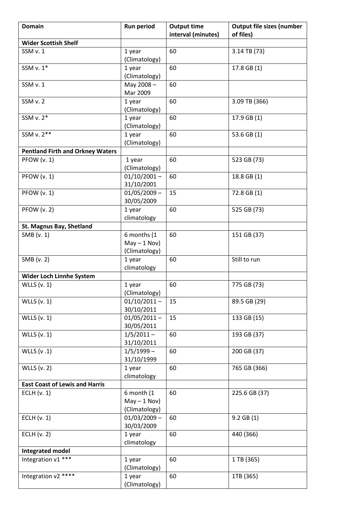| <b>Domain</b>                           | <b>Run period</b>            | <b>Output time</b> | <b>Output file sizes (number</b> |
|-----------------------------------------|------------------------------|--------------------|----------------------------------|
|                                         |                              | interval (minutes) | of files)                        |
| <b>Wider Scottish Shelf</b>             |                              |                    |                                  |
| SSM v. 1                                | 1 year                       | 60                 | 3.14 TB (73)                     |
|                                         | (Climatology)                |                    |                                  |
| SSM v. 1*                               | 1 year                       | 60                 | 17.8 GB (1)                      |
|                                         | (Climatology)                |                    |                                  |
| SSM v. 1                                | May 2008-                    | 60                 |                                  |
|                                         | Mar 2009                     |                    |                                  |
| SSM v. 2                                | 1 year                       | 60                 | 3.09 TB (366)                    |
|                                         | (Climatology)                |                    |                                  |
| SSM v. 2*                               | 1 year                       | 60                 | 17.9 GB (1)                      |
| SSM v. 2**                              | (Climatology)                | 60                 |                                  |
|                                         | 1 year                       |                    | 53.6 GB (1)                      |
| <b>Pentland Firth and Orkney Waters</b> | (Climatology)                |                    |                                  |
| PFOW (v. 1)                             | 1 year                       | 60                 | 523 GB (73)                      |
|                                         | (Climatology)                |                    |                                  |
| PFOW (v. 1)                             | $01/10/2001 -$               | 60                 | 18.8 GB (1)                      |
|                                         | 31/10/2001                   |                    |                                  |
| <b>PFOW (v. 1)</b>                      | $01/05/2009 -$               | 15                 | 72.8 GB (1)                      |
|                                         | 30/05/2009                   |                    |                                  |
| <b>PFOW (v. 2)</b>                      | 1 year                       | 60                 | 525 GB (73)                      |
|                                         | climatology                  |                    |                                  |
| St. Magnus Bay, Shetland                |                              |                    |                                  |
| SMB (v. 1)                              | 6 months (1                  | 60                 | 151 GB (37)                      |
|                                         | $May - 1 Nov)$               |                    |                                  |
|                                         | (Climatology)                |                    |                                  |
| SMB (v. 2)                              | 1 year                       | 60                 | Still to run                     |
|                                         | climatology                  |                    |                                  |
| Wider Loch Linnhe System                |                              |                    |                                  |
| WLLS $(v. 1)$                           | 1 year                       | 60                 | 775 GB (73)                      |
|                                         | (Climatology)                |                    |                                  |
| <b>WLLS</b> (v. 1)                      | $01/10/2011 -$<br>30/10/2011 | 15                 | 89.5 GB (29)                     |
| WLLS $(v. 1)$                           | $01/05/2011 -$               | 15                 | 133 GB (15)                      |
|                                         | 30/05/2011                   |                    |                                  |
| <b>WLLS</b> (v. 1)                      | $1/5/2011 -$                 | 60                 | 193 GB (37)                      |
|                                         | 31/10/2011                   |                    |                                  |
| WLLS (v.1)                              | $1/5/1999 -$                 | 60                 | 200 GB (37)                      |
|                                         | 31/10/1999                   |                    |                                  |
| <b>WLLS</b> (v. 2)                      | 1 year                       | 60                 | 765 GB (366)                     |
|                                         | climatology                  |                    |                                  |
| <b>East Coast of Lewis and Harris</b>   |                              |                    |                                  |
| ECLH $(v. 1)$                           | 6 month (1                   | 60                 | 225.6 GB (37)                    |
|                                         | $May - 1 Nov)$               |                    |                                  |
|                                         | (Climatology)                |                    |                                  |
| ECLH $(v. 1)$                           | $01/03/2009 -$               | 60                 | $9.2$ GB $(1)$                   |
|                                         | 30/03/2009                   |                    |                                  |
| ECLH $(v. 2)$                           | 1 year                       | 60                 | 440 (366)                        |
|                                         | climatology                  |                    |                                  |
| Integrated model                        |                              |                    |                                  |
| Integration v1 ***                      | 1 year                       | 60                 | 1 TB (365)                       |
|                                         | (Climatology)                |                    |                                  |
| Integration v2 ****                     | 1 year                       | 60                 | 1TB (365)                        |
|                                         | (Climatology)                |                    |                                  |